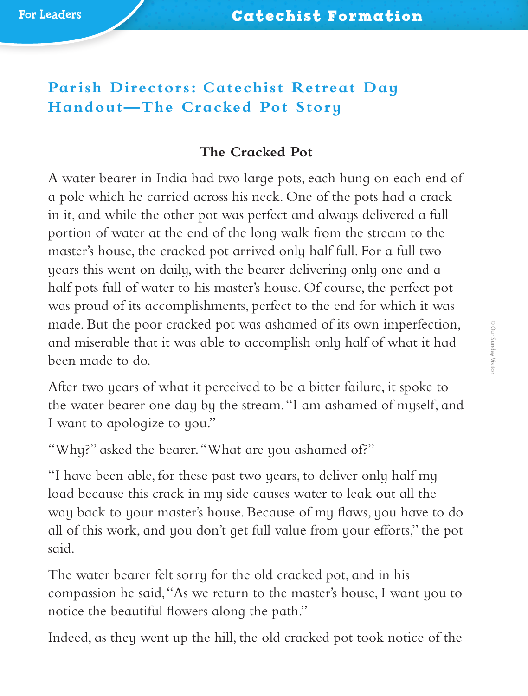## **Parish Directors: Catechist Retreat Day Handout—The Cracked Pot Story**

## **The Cracked Pot**

A water bearer in India had two large pots, each hung on each end of a pole which he carried across his neck. One of the pots had a crack in it, and while the other pot was perfect and always delivered a full portion of water at the end of the long walk from the stream to the master's house, the cracked pot arrived only half full. For a full two years this went on daily, with the bearer delivering only one and a half pots full of water to his master's house. Of course, the perfect pot was proud of its accomplishments, perfect to the end for which it was made. But the poor cracked pot was ashamed of its own imperfection, and miserable that it was able to accomplish only half of what it had been made to do.

After two years of what it perceived to be a bitter failure, it spoke to the water bearer one day by the stream. "I am ashamed of myself, and I want to apologize to you."

"Why?" asked the bearer. "What are you ashamed of?"

"I have been able, for these past two years, to deliver only half my load because this crack in my side causes water to leak out all the way back to your master's house. Because of my flaws, you have to do all of this work, and you don't get full value from your efforts," the pot said.

The water bearer felt sorry for the old cracked pot, and in his compassion he said, "As we return to the master's house, I want you to notice the beautiful flowers along the path."

Indeed, as they went up the hill, the old cracked pot took notice of the